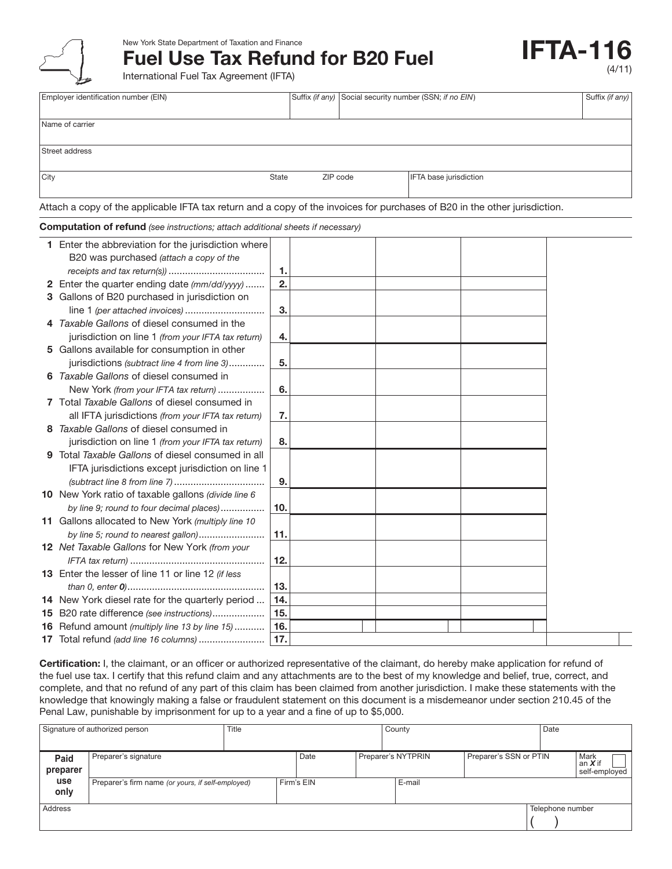New York State Department of Taxation and Finance

Fuel Use Tax Refund for B20 Fuel

International Fuel Tax Agreement (IFTA)

| Employer identification number (EIN) |          | Suffix (if any) Social security number (SSN; if no EIN) |                        | Suffix (if any) |
|--------------------------------------|----------|---------------------------------------------------------|------------------------|-----------------|
| Name of carrier                      |          |                                                         |                        |                 |
| Street address                       |          |                                                         |                        |                 |
| City<br>State                        | ZIP code |                                                         | IFTA base jurisdiction |                 |

Attach a copy of the applicable IFTA tax return and a copy of the invoices for purchases of B20 in the other jurisdiction.

#### Computation of refund *(see instructions; attach additional sheets if necessary)*

| 1 Enter the abbreviation for the jurisdiction where     |     |  |
|---------------------------------------------------------|-----|--|
| B20 was purchased (attach a copy of the                 |     |  |
|                                                         | 1.  |  |
| 2 Enter the quarter ending date (mm/dd/yyyy)            | 2.  |  |
| 3 Gallons of B20 purchased in jurisdiction on           |     |  |
|                                                         | 3.  |  |
| 4 Taxable Gallons of diesel consumed in the             |     |  |
| jurisdiction on line 1 (from your IFTA tax return)      | 4.  |  |
| 5 Gallons available for consumption in other            |     |  |
| jurisdictions (subtract line 4 from line 3)             | 5.  |  |
| 6 Taxable Gallons of diesel consumed in                 |     |  |
| New York (from your IFTA tax return)                    | 6.  |  |
| 7 Total Taxable Gallons of diesel consumed in           |     |  |
| all IFTA jurisdictions (from your IFTA tax return)      | 7.  |  |
| 8 Taxable Gallons of diesel consumed in                 |     |  |
| jurisdiction on line 1 (from your IFTA tax return)      | 8.  |  |
| 9 Total Taxable Gallons of diesel consumed in all       |     |  |
| IFTA jurisdictions except jurisdiction on line 1        |     |  |
|                                                         | 9.  |  |
| 10 New York ratio of taxable gallons (divide line 6     |     |  |
| by line 9; round to four decimal places)                | 10. |  |
| 11 Gallons allocated to New York (multiply line 10      |     |  |
| by line 5; round to nearest gallon)                     | 11. |  |
| 12 Net Taxable Gallons for New York (from your          |     |  |
|                                                         | 12. |  |
| 13 Enter the lesser of line 11 or line 12 (if less      |     |  |
|                                                         | 13. |  |
| <b>14</b> New York diesel rate for the quarterly period | 14. |  |
| 15 B20 rate difference (see instructions)               | 15. |  |
| 16 Refund amount (multiply line 13 by line 15)          | 16. |  |
| 17 Total refund (add line 16 columns)                   | 17. |  |

Certification: I, the claimant, or an officer or authorized representative of the claimant, do hereby make application for refund of the fuel use tax. I certify that this refund claim and any attachments are to the best of my knowledge and belief, true, correct, and complete, and that no refund of any part of this claim has been claimed from another jurisdiction. I make these statements with the knowledge that knowingly making a false or fraudulent statement on this document is a misdemeanor under section 210.45 of the Penal Law, punishable by imprisonment for up to a year and a fine of up to \$5,000.

|                  | Signature of authorized person                    | Title |            | County             |                        | Date             |                                    |
|------------------|---------------------------------------------------|-------|------------|--------------------|------------------------|------------------|------------------------------------|
| Paid<br>preparer | Preparer's signature                              |       | Date       | Preparer's NYTPRIN | Preparer's SSN or PTIN |                  | Mark<br>an $X$ if<br>self-employed |
| use<br>only      | Preparer's firm name (or yours, if self-employed) |       | Firm's EIN | E-mail             |                        |                  |                                    |
| Address          |                                                   |       |            |                    |                        | Telephone number |                                    |

IFTA-116